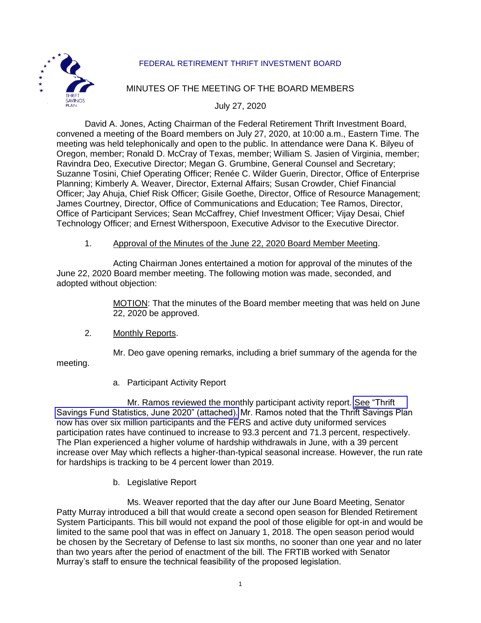

# FEDERAL RETIREMENT THRIFT INVESTMENT BOARD

## MINUTES OF THE MEETING OF THE BOARD MEMBERS

July 27, 2020

David A. Jones, Acting Chairman of the Federal Retirement Thrift Investment Board, convened a meeting of the Board members on July 27, 2020, at 10:00 a.m., Eastern Time. The meeting was held telephonically and open to the public. In attendance were Dana K. Bilyeu of Oregon, member; Ronald D. McCray of Texas, member; William S. Jasien of Virginia, member; Ravindra Deo, Executive Director; Megan G. Grumbine, General Counsel and Secretary; Suzanne Tosini, Chief Operating Officer; Renée C. Wilder Guerin, Director, Office of Enterprise Planning; Kimberly A. Weaver, Director, External Affairs; Susan Crowder, Chief Financial Officer; Jay Ahuja, Chief Risk Officer; Gisile Goethe, Director, Office of Resource Management; James Courtney, Director, Office of Communications and Education; Tee Ramos, Director, Office of Participant Services; Sean McCaffrey, Chief Investment Officer; Vijay Desai, Chief Technology Officer; and Ernest Witherspoon, Executive Advisor to the Executive Director.

#### 1. Approval of the Minutes of the June 22, 2020 Board Member Meeting.

Acting Chairman Jones entertained a motion for approval of the minutes of the June 22, 2020 Board member meeting. The following motion was made, seconded, and adopted without objection:

> MOTION: That the minutes of the Board member meeting that was held on June 22, 2020 be approved.

#### 2. Monthly Reports.

Mr. Deo gave opening remarks, including a brief summary of the agenda for the

meeting.

a. Participant Activity Report

Mr. Ramos reviewed the monthly participant activity report. [See "Thrift](https://www.frtib.gov/pdf/minutes/2020/July/MM-2020July-Att1.pdf) [Savings Fund Statistics, June 2020" \(attached\).](https://www.frtib.gov/pdf/minutes/2020/July/MM-2020July-Att1.pdf) Mr. Ramos noted that the Thrift Savings Plan now has over six million participants and the FERS and active duty uniformed services participation rates have continued to increase to 93.3 percent and 71.3 percent, respectively. The Plan experienced a higher volume of hardship withdrawals in June, with a 39 percent increase over May which reflects a higher-than-typical seasonal increase. However, the run rate for hardships is tracking to be 4 percent lower than 2019.

### b. Legislative Report

Ms. Weaver reported that the day after our June Board Meeting, Senator Patty Murray introduced a bill that would create a second open season for Blended Retirement System Participants. This bill would not expand the pool of those eligible for opt-in and would be limited to the same pool that was in effect on January 1, 2018. The open season period would be chosen by the Secretary of Defense to last six months, no sooner than one year and no later than two years after the period of enactment of the bill. The FRTIB worked with Senator Murray's staff to ensure the technical feasibility of the proposed legislation.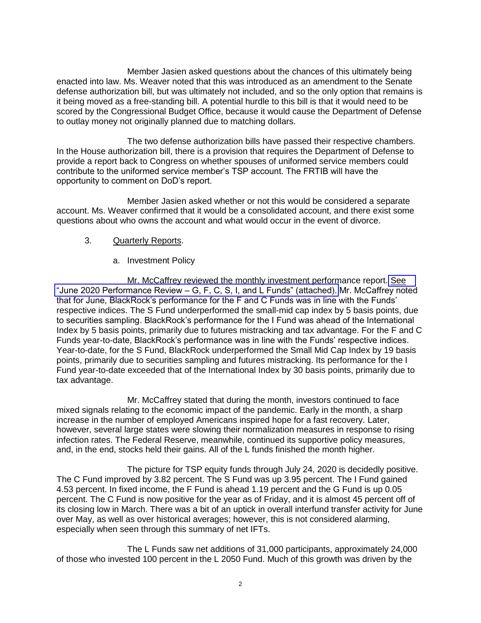Member Jasien asked questions about the chances of this ultimately being enacted into law. Ms. Weaver noted that this was introduced as an amendment to the Senate defense authorization bill, but was ultimately not included, and so the only option that remains is it being moved as a free-standing bill. A potential hurdle to this bill is that it would need to be scored by the Congressional Budget Office, because it would cause the Department of Defense to outlay money not originally planned due to matching dollars.

The two defense authorization bills have passed their respective chambers. In the House authorization bill, there is a provision that requires the Department of Defense to provide a report back to Congress on whether spouses of uniformed service members could contribute to the uniformed service member's TSP account. The FRTIB will have the opportunity to comment on DoD's report.

Member Jasien asked whether or not this would be considered a separate account. Ms. Weaver confirmed that it would be a consolidated account, and there exist some questions about who owns the account and what would occur in the event of divorce.

### 3. Quarterly Reports.

## a. Investment Policy

Mr. McCaffrey reviewed the monthly investment performance report. [See](https://www.frtib.gov/pdf/minutes/2020/July/MM-2020July-Att2.pdf)  "June 2020 Performance Review – [G, F, C, S, I, and L Funds" \(attached\).](https://www.frtib.gov/pdf/minutes/2020/July/MM-2020July-Att2.pdf) Mr. McCaffrey noted that for June, BlackRock's performance for the F and C Funds was in line with the Funds' respective indices. The S Fund underperformed the small-mid cap index by 5 basis points, due to securities sampling. BlackRock's performance for the I Fund was ahead of the International Index by 5 basis points, primarily due to futures mistracking and tax advantage. For the F and C Funds year-to-date, BlackRock's performance was in line with the Funds' respective indices. Year-to-date, for the S Fund, BlackRock underperformed the Small Mid Cap Index by 19 basis points, primarily due to securities sampling and futures mistracking. Its performance for the I Fund year-to-date exceeded that of the International Index by 30 basis points, primarily due to tax advantage.

Mr. McCaffrey stated that during the month, investors continued to face mixed signals relating to the economic impact of the pandemic. Early in the month, a sharp increase in the number of employed Americans inspired hope for a fast recovery. Later, however, several large states were slowing their normalization measures in response to rising infection rates. The Federal Reserve, meanwhile, continued its supportive policy measures, and, in the end, stocks held their gains. All of the L funds finished the month higher.

The picture for TSP equity funds through July 24, 2020 is decidedly positive. The C Fund improved by 3.82 percent. The S Fund was up 3.95 percent. The I Fund gained 4.53 percent. In fixed income, the F Fund is ahead 1.19 percent and the G Fund is up 0.05 percent. The C Fund is now positive for the year as of Friday, and it is almost 45 percent off of its closing low in March. There was a bit of an uptick in overall interfund transfer activity for June over May, as well as over historical averages; however, this is not considered alarming, especially when seen through this summary of net IFTs.

The L Funds saw net additions of 31,000 participants, approximately 24,000 of those who invested 100 percent in the L 2050 Fund. Much of this growth was driven by the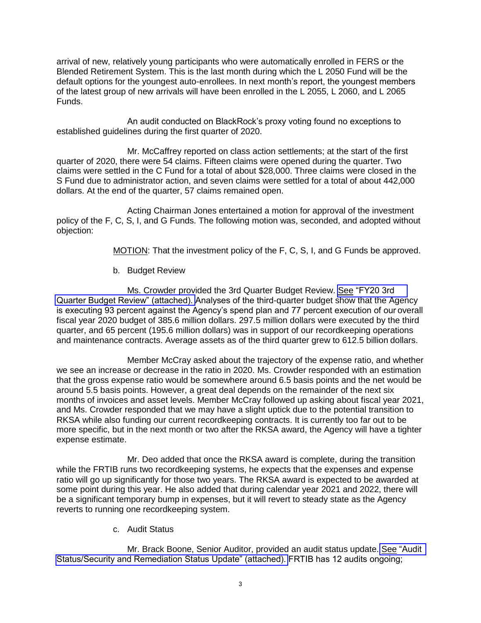arrival of new, relatively young participants who were automatically enrolled in FERS or the Blended Retirement System. This is the last month during which the L 2050 Fund will be the default options for the youngest auto-enrollees. In next month's report, the youngest members of the latest group of new arrivals will have been enrolled in the L 2055, L 2060, and L 2065 Funds.

An audit conducted on BlackRock's proxy voting found no exceptions to established guidelines during the first quarter of 2020.

Mr. McCaffrey reported on class action settlements; at the start of the first quarter of 2020, there were 54 claims. Fifteen claims were opened during the quarter. Two claims were settled in the C Fund for a total of about \$28,000. Three claims were closed in the S Fund due to administrator action, and seven claims were settled for a total of about 442,000 dollars. At the end of the quarter, 57 claims remained open.

Acting Chairman Jones entertained a motion for approval of the investment policy of the F, C, S, I, and G Funds. The following motion was, seconded, and adopted without objection:

MOTION: That the investment policy of the F, C, S, I, and G Funds be approved.

## b. Budget Review

Ms. Crowder provided the 3rd Quarter Budget Review. [See "FY20 3rd](https://www.frtib.gov/pdf/minutes/2020/July/MM-2020July-Att3.pdf) [Quarter Budget Review" \(attached\).](https://www.frtib.gov/pdf/minutes/2020/July/MM-2020July-Att3.pdf) Analyses of the third-quarter budget show that the Agency is executing 93 percent against the Agency's spend plan and 77 percent execution of our overall fiscal year 2020 budget of 385.6 million dollars. 297.5 million dollars were executed by the third quarter, and 65 percent (195.6 million dollars) was in support of our recordkeeping operations and maintenance contracts. Average assets as of the third quarter grew to 612.5 billion dollars.

Member McCray asked about the trajectory of the expense ratio, and whether we see an increase or decrease in the ratio in 2020. Ms. Crowder responded with an estimation that the gross expense ratio would be somewhere around 6.5 basis points and the net would be around 5.5 basis points. However, a great deal depends on the remainder of the next six months of invoices and asset levels. Member McCray followed up asking about fiscal year 2021, and Ms. Crowder responded that we may have a slight uptick due to the potential transition to RKSA while also funding our current recordkeeping contracts. It is currently too far out to be more specific, but in the next month or two after the RKSA award, the Agency will have a tighter expense estimate.

Mr. Deo added that once the RKSA award is complete, during the transition while the FRTIB runs two recordkeeping systems, he expects that the expenses and expense ratio will go up significantly for those two years. The RKSA award is expected to be awarded at some point during this year. He also added that during calendar year 2021 and 2022, there will be a significant temporary bump in expenses, but it will revert to steady state as the Agency reverts to running one recordkeeping system.

c. Audit Status

Mr. Brack Boone, Senior Auditor, provided an audit status update. [See "Audit](https://www.frtib.gov/pdf/minutes/2020/July/MM-2020July-Att4.pdf) [Status/Security and Remediation Status Update" \(attached\).](https://www.frtib.gov/pdf/minutes/2020/July/MM-2020July-Att4.pdf) FRTIB has 12 audits ongoing;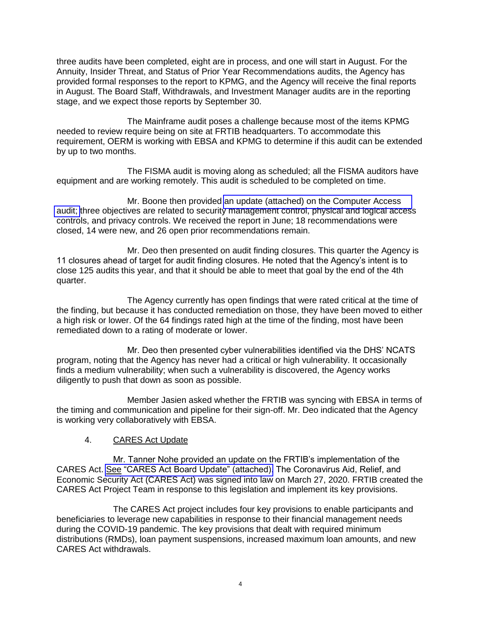three audits have been completed, eight are in process, and one will start in August. For the Annuity, Insider Threat, and Status of Prior Year Recommendations audits, the Agency has provided formal responses to the report to KPMG, and the Agency will receive the final reports in August. The Board Staff, Withdrawals, and Investment Manager audits are in the reporting stage, and we expect those reports by September 30.

The Mainframe audit poses a challenge because most of the items KPMG needed to review require being on site at FRTIB headquarters. To accommodate this requirement, OERM is working with EBSA and KPMG to determine if this audit can be extended by up to two months.

The FISMA audit is moving along as scheduled; all the FISMA auditors have equipment and are working remotely. This audit is scheduled to be completed on time.

Mr. Boone then provided [an update \(attached\) on the Computer Access](https://www.frtib.gov/pdf/minutes/2020/July/MM-2020July-Att5.pdf)  [audit;](https://www.frtib.gov/pdf/minutes/2020/July/MM-2020July-Att5.pdf) three objectives are related to security management control, physical and logical access controls, and privacy controls. We received the report in June; 18 recommendations were closed, 14 were new, and 26 open prior recommendations remain.

Mr. Deo then presented on audit finding closures. This quarter the Agency is 11 closures ahead of target for audit finding closures. He noted that the Agency's intent is to close 125 audits this year, and that it should be able to meet that goal by the end of the 4th quarter.

The Agency currently has open findings that were rated critical at the time of the finding, but because it has conducted remediation on those, they have been moved to either a high risk or lower. Of the 64 findings rated high at the time of the finding, most have been remediated down to a rating of moderate or lower.

Mr. Deo then presented cyber vulnerabilities identified via the DHS' NCATS program, noting that the Agency has never had a critical or high vulnerability. It occasionally finds a medium vulnerability; when such a vulnerability is discovered, the Agency works diligently to push that down as soon as possible.

Member Jasien asked whether the FRTIB was syncing with EBSA in terms of the timing and communication and pipeline for their sign-off. Mr. Deo indicated that the Agency is working very collaboratively with EBSA.

### 4. CARES Act Update

Mr. Tanner Nohe provided an update on the FRTIB's implementation of the CARES Act. [See "CARES Act Board Update" \(attached\).](https://www.frtib.gov/pdf/minutes/2020/July/MM-2020July-Att6.pdf) The Coronavirus Aid, Relief, and Economic Security Act (CARES Act) was signed into law on March 27, 2020. FRTIB created the CARES Act Project Team in response to this legislation and implement its key provisions.

The CARES Act project includes four key provisions to enable participants and beneficiaries to leverage new capabilities in response to their financial management needs during the COVID-19 pandemic. The key provisions that dealt with required minimum distributions (RMDs), loan payment suspensions, increased maximum loan amounts, and new CARES Act withdrawals.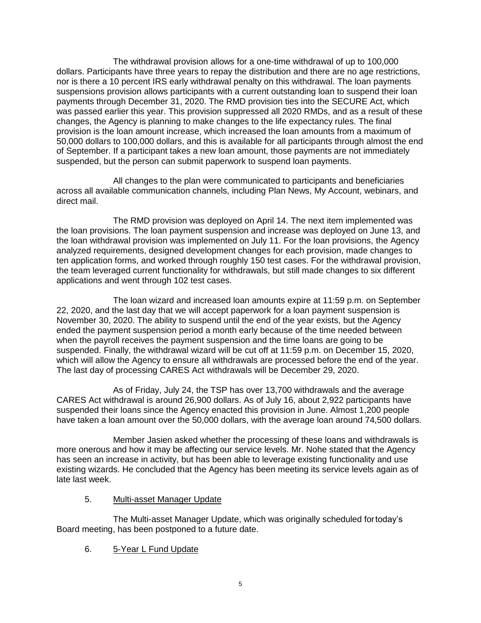The withdrawal provision allows for a one-time withdrawal of up to 100,000 dollars. Participants have three years to repay the distribution and there are no age restrictions, nor is there a 10 percent IRS early withdrawal penalty on this withdrawal. The loan payments suspensions provision allows participants with a current outstanding loan to suspend their loan payments through December 31, 2020. The RMD provision ties into the SECURE Act, which was passed earlier this year. This provision suppressed all 2020 RMDs, and as a result of these changes, the Agency is planning to make changes to the life expectancy rules. The final provision is the loan amount increase, which increased the loan amounts from a maximum of 50,000 dollars to 100,000 dollars, and this is available for all participants through almost the end of September. If a participant takes a new loan amount, those payments are not immediately suspended, but the person can submit paperwork to suspend loan payments.

All changes to the plan were communicated to participants and beneficiaries across all available communication channels, including Plan News, My Account, webinars, and direct mail.

The RMD provision was deployed on April 14. The next item implemented was the loan provisions. The loan payment suspension and increase was deployed on June 13, and the loan withdrawal provision was implemented on July 11. For the loan provisions, the Agency analyzed requirements, designed development changes for each provision, made changes to ten application forms, and worked through roughly 150 test cases. For the withdrawal provision, the team leveraged current functionality for withdrawals, but still made changes to six different applications and went through 102 test cases.

The loan wizard and increased loan amounts expire at 11:59 p.m. on September 22, 2020, and the last day that we will accept paperwork for a loan payment suspension is November 30, 2020. The ability to suspend until the end of the year exists, but the Agency ended the payment suspension period a month early because of the time needed between when the payroll receives the payment suspension and the time loans are going to be suspended. Finally, the withdrawal wizard will be cut off at 11:59 p.m. on December 15, 2020, which will allow the Agency to ensure all withdrawals are processed before the end of the year. The last day of processing CARES Act withdrawals will be December 29, 2020.

As of Friday, July 24, the TSP has over 13,700 withdrawals and the average CARES Act withdrawal is around 26,900 dollars. As of July 16, about 2,922 participants have suspended their loans since the Agency enacted this provision in June. Almost 1,200 people have taken a loan amount over the 50,000 dollars, with the average loan around 74,500 dollars.

Member Jasien asked whether the processing of these loans and withdrawals is more onerous and how it may be affecting our service levels. Mr. Nohe stated that the Agency has seen an increase in activity, but has been able to leverage existing functionality and use existing wizards. He concluded that the Agency has been meeting its service levels again as of late last week.

5. Multi-asset Manager Update

The Multi-asset Manager Update, which was originally scheduled for today's Board meeting, has been postponed to a future date.

6. 5-Year L Fund Update